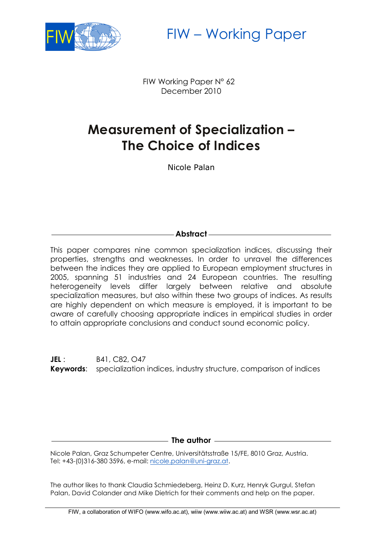

FIW – Working Paper

 FIW Working Paper N° 62 December 2010

# **Measurement of Specialization – The Choice of Indices**

Nicole Palan

# **Abstract**

This paper compares nine common specialization indices, discussing their properties, strengths and weaknesses. In order to unravel the differences between the indices they are applied to European employment structures in 2005, spanning 51 industries and 24 European countries. The resulting heterogeneity levels differ largely between relative and absolute specialization measures, but also within these two groups of indices. As results are highly dependent on which measure is employed, it is important to be aware of carefully choosing appropriate indices in empirical studies in order to attain appropriate conclusions and conduct sound economic policy.

**JEL**: **B41, C82, O47 Keywords**: specialization indices, industry structure, comparison of indices

**The author**

Nicole Palan, Graz Schumpeter Centre, Universitätsstraße 15/FE, 8010 Graz, Austria. Tel: +43-(0)316-380 3596, e-mail: [nicole.palan@uni-graz.at.](mailto:nicole.palan@uni-graz.at)

The author likes to thank Claudia Schmiedeberg, Heinz D. Kurz, Henryk Gurgul, Stefan Palan, David Colander and Mike Dietrich for their comments and help on the paper.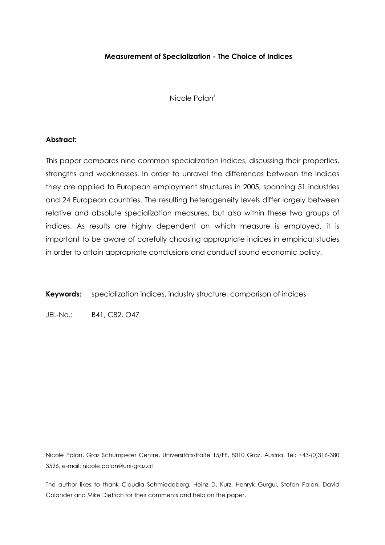#### Measurement of Specialization - The Choice of Indices

Nicole Palan\*

#### Abstract:

This paper compares nine common specialization indices, discussing their properties, strengths and weaknesses. In order to unravel the differences between the indices they are applied to European employment structures in 2005, spanning 51 industries and 24 European countries. The resulting heterogeneity levels differ largely between relative and absolute specialization measures, but also within these two groups of indices. As results are highly dependent on which measure is employed, it is important to be aware of carefully choosing appropriate indices in empirical studies in order to attain appropriate conclusions and conduct sound economic policy.

Keywords: specialization indices, industry structure, comparison of indices

JEL-No.: B41, C82, O47

Nicole Palan, Graz Schumpeter Centre, Universitätsstraße 15/FE, 8010 Graz, Austria. Tel: +43-(0)316-380 3596, e-mail: nicole.palan@uni-graz.at.

The author likes to thank Claudia Schmiedeberg, Heinz D. Kurz, Henryk Gurgul, Stefan Palan, David Colander and Mike Dietrich for their comments and help on the paper.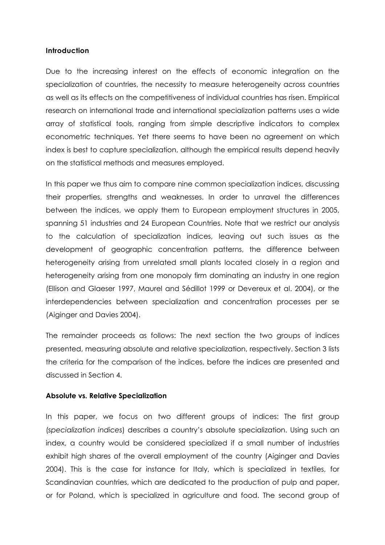#### Introduction

Due to the increasing interest on the effects of economic integration on the specialization of countries, the necessity to measure heterogeneity across countries as well as its effects on the competitiveness of individual countries has risen. Empirical research on international trade and international specialization patterns uses a wide array of statistical tools, ranging from simple descriptive indicators to complex econometric techniques. Yet there seems to have been no agreement on which index is best to capture specialization, although the empirical results depend heavily on the statistical methods and measures employed.

In this paper we thus aim to compare nine common specialization indices, discussing their properties, strengths and weaknesses. In order to unravel the differences between the indices, we apply them to European employment structures in 2005, spanning 51 industries and 24 European Countries. Note that we restrict our analysis to the calculation of specialization indices, leaving out such issues as the development of geographic concentration patterns, the difference between heterogeneity arising from unrelated small plants located closely in a region and heterogeneity arising from one monopoly firm dominating an industry in one region (Ellison and Glaeser 1997, Maurel and Sédillot 1999 or Devereux et al. 2004), or the interdependencies between specialization and concentration processes per se (Aiginger and Davies 2004).

The remainder proceeds as follows: The next section the two groups of indices presented, measuring absolute and relative specialization, respectively. Section 3 lists the criteria for the comparison of the indices, before the indices are presented and discussed in Section 4.

#### Absolute vs. Relative Specialization

In this paper, we focus on two different groups of indices: The first group (specialization indices) describes a country's absolute specialization. Using such an index, a country would be considered specialized if a small number of industries exhibit high shares of the overall employment of the country (Aiginger and Davies 2004). This is the case for instance for Italy, which is specialized in textiles, for Scandinavian countries, which are dedicated to the production of pulp and paper, or for Poland, which is specialized in agriculture and food. The second group of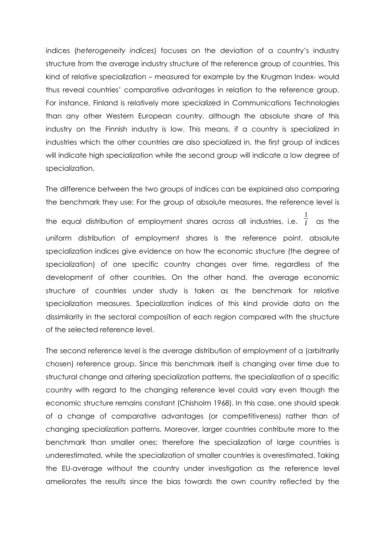indices (heterogeneity indices) focuses on the deviation of a country's industry structure from the average industry structure of the reference group of countries. This kind of relative specialization – measured for example by the Krugman Index- would thus reveal countries' comparative advantages in relation to the reference group. For instance, Finland is relatively more specialized in Communications Technologies than any other Western European country, although the absolute share of this industry on the Finnish industry is low. This means, if a country is specialized in industries which the other countries are also specialized in, the first group of indices will indicate high specialization while the second group will indicate a low degree of specialization.

The difference between the two groups of indices can be explained also comparing the benchmark they use: For the group of absolute measures, the reference level is the equal distribution of employment shares across all industries, i.e. 1  $\overline{I}$  as the uniform distribution of employment shares is the reference point, absolute specialization indices give evidence on how the economic structure (the degree of specialization) of one specific country changes over time, regardless of the development of other countries. On the other hand, the average economic structure of countries under study is taken as the benchmark for relative specialization measures. Specialization indices of this kind provide data on the dissimilarity in the sectoral composition of each region compared with the structure of the selected reference level.

The second reference level is the average distribution of employment of a (arbitrarily chosen) reference group. Since this benchmark itself is changing over time due to structural change and altering specialization patterns, the specialization of a specific country with regard to the changing reference level could vary even though the economic structure remains constant (Chisholm 1968). In this case, one should speak of a change of comparative advantages (or competitiveness) rather than of changing specialization patterns. Moreover, larger countries contribute more to the benchmark than smaller ones; therefore the specialization of large countries is underestimated, while the specialization of smaller countries is overestimated. Taking the EU-average without the country under investigation as the reference level ameliorates the results since the bias towards the own country reflected by the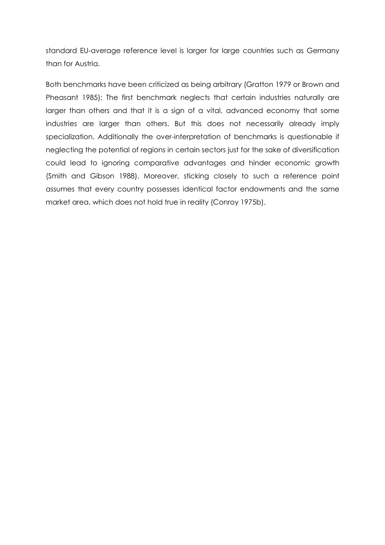standard EU-average reference level is larger for large countries such as Germany than for Austria.

Both benchmarks have been criticized as being arbitrary (Gratton 1979 or Brown and Pheasant 1985): The first benchmark neglects that certain industries naturally are larger than others and that it is a sign of a vital, advanced economy that some industries are larger than others. But this does not necessarily already imply specialization. Additionally the over-interpretation of benchmarks is questionable if neglecting the potential of regions in certain sectors just for the sake of diversification could lead to ignoring comparative advantages and hinder economic growth (Smith and Gibson 1988). Moreover, sticking closely to such a reference point assumes that every country possesses identical factor endowments and the same market area, which does not hold true in reality (Conroy 1975b).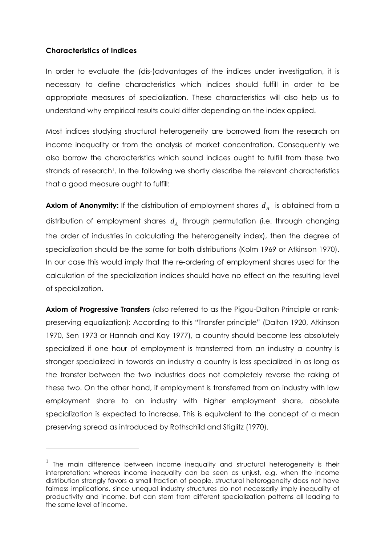# Characteristics of Indices

 $\overline{a}$ 

In order to evaluate the (dis-)advantages of the indices under investigation, it is necessary to define characteristics which indices should fulfill in order to be appropriate measures of specialization. These characteristics will also help us to understand why empirical results could differ depending on the index applied.

Most indices studying structural heterogeneity are borrowed from the research on income inequality or from the analysis of market concentration. Consequently we also borrow the characteristics which sound indices ought to fulfill from these two strands of research<sup>1</sup>. In the following we shortly describe the relevant characteristics that a good measure ought to fulfill:

**Axiom of Anonymity:** If the distribution of employment shares  $d_{A}$  is obtained from a distribution of employment shares  $d_A$  through permutation (i.e. through changing the order of industries in calculating the heterogeneity index), then the degree of specialization should be the same for both distributions (Kolm 1969 or Atkinson 1970). In our case this would imply that the re-ordering of employment shares used for the calculation of the specialization indices should have no effect on the resulting level of specialization.

Axiom of Progressive Transfers (also referred to as the Pigou-Dalton Principle or rankpreserving equalization): According to this "Transfer principle" (Dalton 1920, Atkinson 1970, Sen 1973 or Hannah and Kay 1977), a country should become less absolutely specialized if one hour of employment is transferred from an industry a country is stronger specialized in towards an industry a country is less specialized in as long as the transfer between the two industries does not completely reverse the raking of these two. On the other hand, if employment is transferred from an industry with low employment share to an industry with higher employment share, absolute specialization is expected to increase. This is equivalent to the concept of a mean preserving spread as introduced by Rothschild and Stiglitz (1970).

 $1$  The main difference between income inequality and structural heterogeneity is their interpretation: whereas income inequality can be seen as unjust, e.g. when the income distribution strongly favors a small fraction of people, structural heterogeneity does not have fairness implications, since unequal industry structures do not necessarily imply inequality of productivity and income, but can stem from different specialization patterns all leading to the same level of income.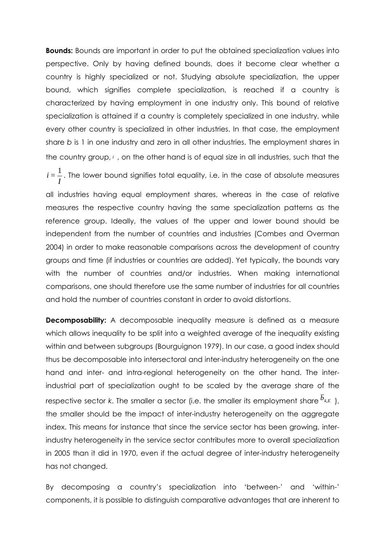**Bounds:** Bounds are important in order to put the obtained specialization values into perspective. Only by having defined bounds, does it become clear whether a country is highly specialized or not. Studying absolute specialization, the upper bound, which signifies complete specialization, is reached if a country is characterized by having employment in one industry only. This bound of relative specialization is attained if a country is completely specialized in one industry, while every other country is specialized in other industries. In that case, the employment share b is 1 in one industry and zero in all other industries. The employment shares in the country group, *<sup>i</sup>* , on the other hand is of equal size in all industries, such that the

*I*  $i$  =  $\frac{1}{\cdot}$  . The lower bound signifies total equality, i.e. in the case of absolute measures all industries having equal employment shares, whereas in the case of relative measures the respective country having the same specialization patterns as the reference group. Ideally, the values of the upper and lower bound should be independent from the number of countries and industries (Combes and Overman 2004) in order to make reasonable comparisons across the development of country groups and time (if industries or countries are added). Yet typically, the bounds vary with the number of countries and/or industries. When making international comparisons, one should therefore use the same number of industries for all countries and hold the number of countries constant in order to avoid distortions.

**Decomposability:** A decomposable inequality measure is defined as a measure which allows inequality to be split into a weighted average of the inequality existing within and between subgroups (Bourguignon 1979). In our case, a good index should thus be decomposable into intersectoral and inter-industry heterogeneity on the one hand and inter- and intra-regional heterogeneity on the other hand. The interindustrial part of specialization ought to be scaled by the average share of the respective sector k. The smaller a sector (i.e. the smaller its employment share  $\bar{b}_{k,E}$ ), the smaller should be the impact of inter-industry heterogeneity on the aggregate index. This means for instance that since the service sector has been growing, interindustry heterogeneity in the service sector contributes more to overall specialization in 2005 than it did in 1970, even if the actual degree of inter-industry heterogeneity has not changed.

By decomposing a country's specialization into 'between-' and 'within-' components, it is possible to distinguish comparative advantages that are inherent to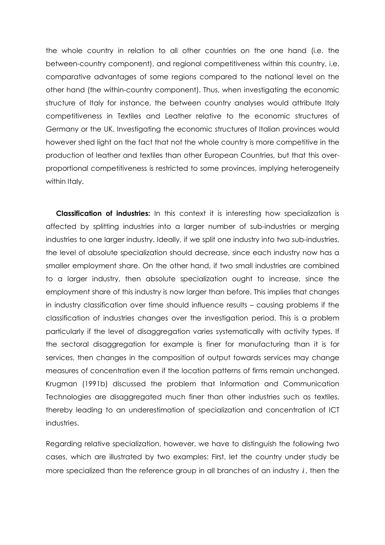the whole country in relation to all other countries on the one hand (i.e. the between-country component), and regional competitiveness within this country, i.e. comparative advantages of some regions compared to the national level on the other hand (the within-country component). Thus, when investigating the economic structure of Italy for instance, the between country analyses would attribute Italy competitiveness in Textiles and Leather relative to the economic structures of Germany or the UK. Investigating the economic structures of Italian provinces would however shed light on the fact that not the whole country is more competitive in the production of leather and textiles than other European Countries, but that this overproportional competitiveness is restricted to some provinces, implying heterogeneity within Italy.

Classification of industries: In this context it is interesting how specialization is affected by splitting industries into a larger number of sub-industries or merging industries to one larger industry. Ideally, if we split one industry into two sub-industries, the level of absolute specialization should decrease, since each industry now has a smaller employment share. On the other hand, if two small industries are combined to a larger industry, then absolute specialization ought to increase, since the employment share of this industry is now larger than before. This implies that changes in industry classification over time should influence results – causing problems if the classification of industries changes over the investigation period. This is a problem particularly if the level of disaggregation varies systematically with activity types. If the sectoral disaggregation for example is finer for manufacturing than it is for services, then changes in the composition of output towards services may change measures of concentration even if the location patterns of firms remain unchanged. Krugman (1991b) discussed the problem that Information and Communication Technologies are disaggregated much finer than other industries such as textiles, thereby leading to an underestimation of specialization and concentration of ICT industries.

Regarding relative specialization, however, we have to distinguish the following two cases, which are illustrated by two examples: First, let the country under study be more specialized than the reference group in all branches of an industry *i* , then the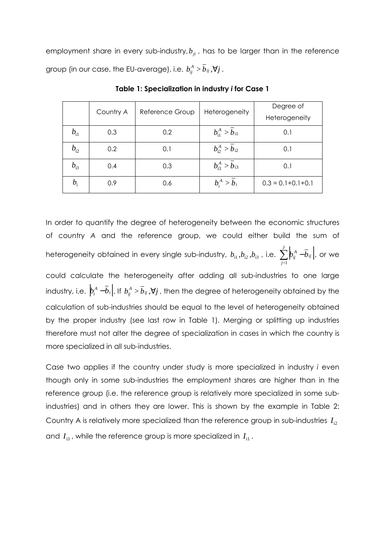employment share in every sub-industry,  $b_{ii}$ , has to be larger than in the reference group (in our case, the EU-average), i.e.  $b_{ij}^{\scriptscriptstyle A}>b_{ij}$  ,  $\forall j$  .

|                                | Country A | Reference Group | Heterogeneity               | Degree of               |
|--------------------------------|-----------|-----------------|-----------------------------|-------------------------|
|                                |           |                 |                             | Heterogeneity           |
| $b_{\scriptscriptstyle\rm i1}$ | 0.3       | 0.2             | $b_{\rm i1}^{A}>b_{\rm i1}$ | 0.1                     |
| $b_{\rm i2}$                   | 0.2       | 0.1             | $b_{i2}^A > b_{i2}$         | 0.1                     |
| $b_{i3}$                       | 0.4       | 0.3             | $b_{i3}^A > b_{i3}$         | 0.1                     |
| $b_i$                          | 0.9       | 0.6             | $b_i^A > b_i$               | $0.3 = 0.1 + 0.1 + 0.1$ |

Table 1: Specialization in industry i for Case 1

In order to quantify the degree of heterogeneity between the economic structures of country A and the reference group, we could either build the sum of heterogeneity obtained in every single sub-industry,  $b_{\rm i1}, b_{\rm i2}, b_{\rm i3}$  , i.e.  $\sum\limits_{}^J \Big| b_{\rm ij}^A - \bar b_{\rm ij} \Big|$ *=j*  $b^A_{ij}$  –  $\overline{b}_{ij}$ 1 , or we could calculate the heterogeneity after adding all sub-industries to one large industry, i.e.  $|b_i^A-b_i|.$  If  $b_{ij}^A > \overline{b}_{ij}, \forall j$  , then the degree of heterogeneity obtained by the calculation of sub-industries should be equal to the level of heterogeneity obtained by the proper industry (see last row in Table 1). Merging or splitting up industries therefore must not alter the degree of specialization in cases in which the country is

Case two applies if the country under study is more specialized in industry i even though only in some sub-industries the employment shares are higher than in the reference group (i.e. the reference group is relatively more specialized in some subindustries) and in others they are lower. This is shown by the example in Table 2: Country A is relatively more specialized than the reference group in sub-industries  $I_{12}$ and  $I_{3}$ , while the reference group is more specialized in  $I_{11}$ .

more specialized in all sub-industries.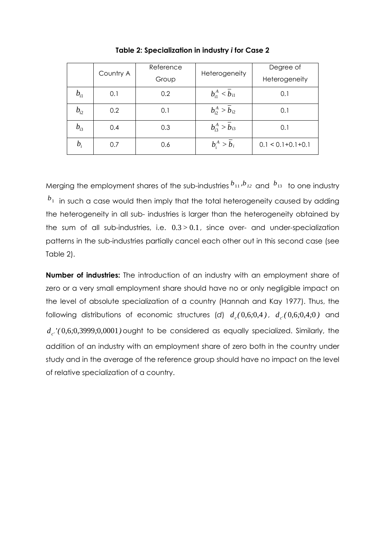|                                   |     | Reference              |                                | Degree of               |
|-----------------------------------|-----|------------------------|--------------------------------|-------------------------|
| Country A                         |     | Heterogeneity<br>Group |                                | Heterogeneity           |
| $b_{\scriptscriptstyle\rm i1}^{}$ | 0.1 | 0.2                    | $b_{i1}^A < \overline{b}_{i1}$ | 0.1                     |
| $b_{\rm i2}^{}$                   | 0.2 | 0.1                    | $b_{i2}^A > \overline{b}_{i2}$ | 0.1                     |
| $b_{\rm i3}$                      | 0.4 | 0.3                    | $b_{i3}^A > \overline{b}_{i3}$ | 0.1                     |
| $b_i$                             | 0.7 | 0.6                    | $b_i^A > \overline{b}_i$       | $0.1 < 0.1 + 0.1 + 0.1$ |

Table 2: Specialization in industry i for Case 2

Merging the employment shares of the sub-industries  $b_{11}$ ,  $b_{12}$  and  $b_{13}$  to one industry *b*<sub>1</sub> in such a case would then imply that the total heterogeneity caused by adding the heterogeneity in all sub- industries is larger than the heterogeneity obtained by the sum of all sub-industries, i.e. 0.3*>* 0.1, since over- and under-specialization patterns in the sub-industries partially cancel each other out in this second case (see Table 2).

Number of industries: The introduction of an industry with an employment share of zero or a very small employment share should have no or only negligible impact on the level of absolute specialization of a country (Hannah and Kay 1977). Thus, the following distributions of economic structures (d)  $d_c(0,6,0,4)$ ,  $d_{c'}(0,6,0,4,0)$  and  $d_{c'}$ ' $(0,6,0,3999,0,0001)$  ought to be considered as equally specialized. Similarly, the addition of an industry with an employment share of zero both in the country under study and in the average of the reference group should have no impact on the level of relative specialization of a country.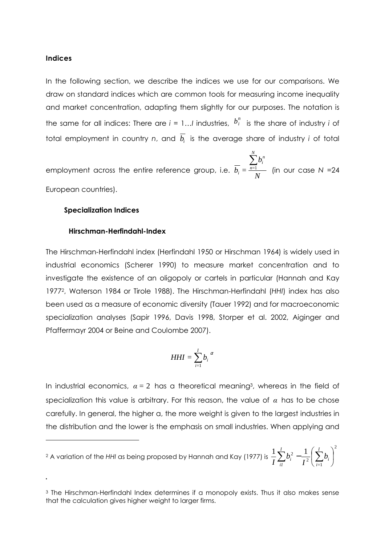#### Indices

 $\overline{a}$ 

.

In the following section, we describe the indices we use for our comparisons. We draw on standard indices which are common tools for measuring income inequality and market concentration, adapting them slightly for our purposes. The notation is the same for all indices: There are  $i = 1...l$  industries,  $b_i^n$  is the share of industry *i* of total employment in country n, and  $b_i$  is the average share of industry  $i$  of total

employment across the entire reference group, i.e. *N b*  $b_i =$ *N n= n i i*  $\sum$  $\frac{1}{1}$  (in our case N = 24 European countries).

#### Specialization Indices

#### Hirschman-Herfindahl-Index

The Hirschman-Herfindahl index (Herfindahl 1950 or Hirschman 1964) is widely used in industrial economics (Scherer 1990) to measure market concentration and to investigate the existence of an oligopoly or cartels in particular (Hannah and Kay 1977<sup>2</sup> , Waterson 1984 or Tirole 1988). The Hirschman-Herfindahl (HHI) index has also been used as a measure of economic diversity (Tauer 1992) and for macroeconomic specialization analyses (Sapir 1996, Davis 1998, Storper et al. 2002, Aiginger and Pfaffermayr 2004 or Beine and Coulombe 2007).

$$
HHI = \sum_{i=1}^{I} b_i^{\alpha}
$$

In industrial economics,  $\alpha = 2$  has a theoretical meaning<sup>3</sup>, whereas in the field of specialization this value is arbitrary. For this reason, the value of  $\alpha$  has to be chose carefully. In general, the higher α, the more weight is given to the largest industries in the distribution and the lower is the emphasis on small industries. When applying and

<sup>2</sup> A variation of the HHI as being proposed by Hannah and Kay (1977) is 2  $\frac{2}{i}$  $\frac{1}{2} \sum_{i}^{1} b_i^2 - \frac{1}{2} \left( \sum_{i}^{1} b_i \right)$ J  $\left(\sum_{i}^{I}b_{i}\right)$ l  $\sum^I b_i^2 - \frac{1}{l^2} \left( \sum^I$ *=i i I i1*  $\left| \frac{2}{i} - \frac{1}{l^2} \right| \sum b_i$ *I b I*

<sup>3</sup> The Hirschman-Herfindahl Index determines if a monopoly exists. Thus it also makes sense that the calculation gives higher weight to larger firms.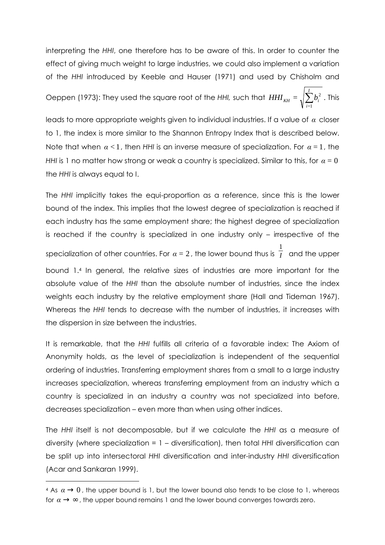interpreting the HHI, one therefore has to be aware of this. In order to counter the effect of giving much weight to large industries, we could also implement a variation of the HHI introduced by Keeble and Hauser (1971) and used by Chisholm and

Oeppen (1973): They used the square root of the HHI, such that  $\mathit{HHI}_{\mathit{KH}}=\sqrt{\sum_{i=1}^{K}}$ *=i*  $HHI_{KH} = \sqrt{\sum b_i}$ 1  $\int_{0}^{2}$  . This

leads to more appropriate weights given to individual industries. If a value of  $\alpha$  closer to 1, the index is more similar to the Shannon Entropy Index that is described below. Note that when  $\alpha < 1$ , then HHI is an inverse measure of specialization. For  $\alpha = 1$ , the HHI is 1 no matter how strong or weak a country is specialized. Similar to this, for  $\alpha = 0$ the HHI is always equal to I.

The HHI implicitly takes the equi-proportion as a reference, since this is the lower bound of the index. This implies that the lowest degree of specialization is reached if each industry has the same employment share; the highest degree of specialization is reached if the country is specialized in one industry only – irrespective of the specialization of other countries. For  $\alpha = 2$  , the lower bound thus is  $\frac{1}{I}$  $\overline{I}$  and the upper bound 1.<sup>4</sup> In general, the relative sizes of industries are more important for the absolute value of the HHI than the absolute number of industries, since the index weights each industry by the relative employment share (Hall and Tideman 1967). Whereas the HHI tends to decrease with the number of industries, it increases with the dispersion in size between the industries.

It is remarkable, that the HHI fulfills all criteria of a favorable index: The Axiom of Anonymity holds, as the level of specialization is independent of the sequential ordering of industries. Transferring employment shares from a small to a large industry increases specialization, whereas transferring employment from an industry which a country is specialized in an industry a country was not specialized into before, decreases specialization – even more than when using other indices.

The HHI itself is not decomposable, but if we calculate the HHI as a measure of diversity (where specialization = 1 – diversification), then total HHI diversification can be split up into intersectoral HHI diversification and inter-industry HHI diversification (Acar and Sankaran 1999).

 $\overline{a}$ 

<sup>4</sup> As  $\alpha \rightarrow 0$ , the upper bound is 1, but the lower bound also tends to be close to 1, whereas for  $\alpha \rightarrow \infty$ , the upper bound remains 1 and the lower bound converges towards zero.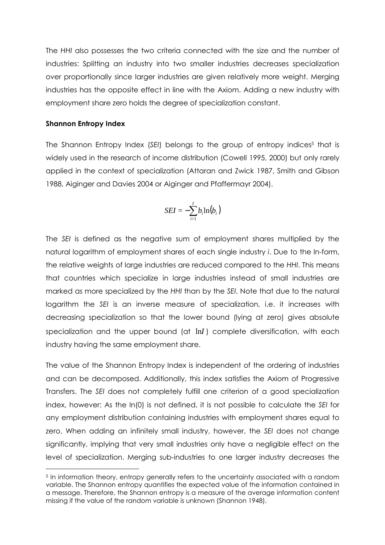The HHI also possesses the two criteria connected with the size and the number of industries: Splitting an industry into two smaller industries decreases specialization over proportionally since larger industries are given relatively more weight. Merging industries has the opposite effect in line with the Axiom. Adding a new industry with employment share zero holds the degree of specialization constant.

### Shannon Entropy Index

 $\overline{a}$ 

The Shannon Entropy Index (SEI) belongs to the group of entropy indices<sup>5</sup> that is widely used in the research of income distribution (Cowell 1995, 2000) but only rarely applied in the context of specialization (Attaran and Zwick 1987, Smith and Gibson 1988, Aiginger and Davies 2004 or Aiginger and Pfaffermayr 2004).

$$
SEI = -\sum_{i=1}^{I} b_i \ln(b_i)
$$

The SEI is defined as the negative sum of employment shares multiplied by the natural logarithm of employment shares of each single industry i. Due to the ln-form, the relative weights of large industries are reduced compared to the HHI. This means that countries which specialize in large industries instead of small industries are marked as more specialized by the HHI than by the SEI. Note that due to the natural logarithm the SEI is an inverse measure of specialization, i.e. it increases with decreasing specialization so that the lower bound (lying at zero) gives absolute specialization and the upper bound (at ln*I* ) complete diversification, with each industry having the same employment share.

The value of the Shannon Entropy Index is independent of the ordering of industries and can be decomposed. Additionally, this index satisfies the Axiom of Progressive Transfers. The SEI does not completely fulfill one criterion of a good specialization index, however: As the ln(0) is not defined, it is not possible to calculate the SEI for any employment distribution containing industries with employment shares equal to zero. When adding an infinitely small industry, however, the SEI does not change significantly, implying that very small industries only have a negligible effect on the level of specialization. Merging sub-industries to one larger industry decreases the

<sup>5</sup> In information theory, entropy generally refers to the uncertainty associated with a random variable. The Shannon entropy quantifies the expected value of the information contained in a message. Therefore, the Shannon entropy is a measure of the average information content missing if the value of the random variable is unknown (Shannon 1948).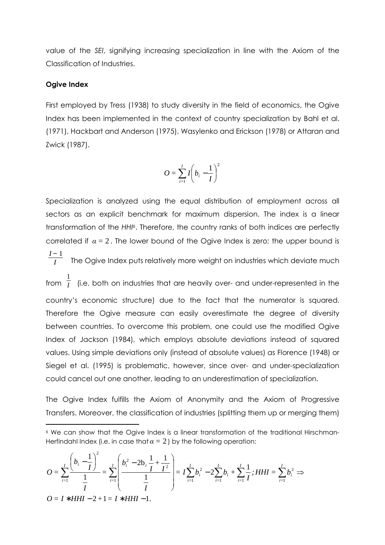value of the SEI, signifying increasing specialization in line with the Axiom of the Classification of Industries.

#### Ogive Index

 $\overline{a}$ 

 $\overline{a}$ 

First employed by Tress (1938) to study diversity in the field of economics, the Ogive Index has been implemented in the context of country specialization by Bahl et al. (1971), Hackbart and Anderson (1975), Wasylenko and Erickson (1978) or Attaran and Zwick (1987).

$$
O = \sum_{i=1}^{I} I\left(b_i - \frac{1}{I}\right)^2
$$

Specialization is analyzed using the equal distribution of employment across all sectors as an explicit benchmark for maximum dispersion. The index is a linear transformation of the HHI<sup>6</sup>. Therefore, the country ranks of both indices are perfectly correlated if  $\alpha = 2$ . The lower bound of the Ogive Index is zero; the upper bound is *I* − 1  $\overline{I}$  The Ogive Index puts relatively more weight on industries which deviate much from 1  $\overline{I}$  (i.e. both on industries that are heavily over- and under-represented in the country's economic structure) due to the fact that the numerator is squared. Therefore the Ogive measure can easily overestimate the degree of diversity between countries. To overcome this problem, one could use the modified Ogive Index of Jackson (1984), which employs absolute deviations instead of squared values. Using simple deviations only (instead of absolute values) as Florence (1948) or Siegel et al. (1995) is problematic, however, since over- and under-specialization could cancel out one another, leading to an underestimation of specialization.

The Ogive Index fulfills the Axiom of Anonymity and the Axiom of Progressive Transfers. Moreover, the classification of industries (splitting them up or merging them)

$$
O = \sum_{i=1}^{I} \frac{\left(b_{i} - \frac{1}{I}\right)^{2}}{\frac{1}{I}} = \sum_{i=1}^{I} \left(\frac{b_{i}^{2} - 2b_{i} \frac{1}{I} + \frac{1}{I^{2}}}{\frac{1}{I}}\right) = I \sum_{i=1}^{I} b_{i}^{2} - 2 \sum_{i=1}^{I} b_{i} + \sum_{i=1}^{I} \frac{1}{I}; HHI = \sum_{i=1}^{I} b_{i}^{2} \implies
$$
  

$$
O = I * HHI - 2 + 1 = I * HHI - 1.
$$

<sup>6</sup> We can show that the Ogive Index is a linear transformation of the traditional Hirschman-Herfindahl Index (i.e. in case that  $\alpha = 2$ ) by the following operation: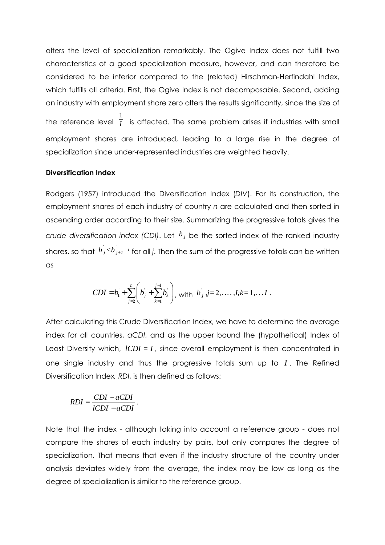alters the level of specialization remarkably. The Ogive Index does not fulfill two characteristics of a good specialization measure, however, and can therefore be considered to be inferior compared to the (related) Hirschman-Herfindahl Index, which fulfills all criteria. First, the Ogive Index is not decomposable. Second, adding an industry with employment share zero alters the results significantly, since the size of the reference level 1  $\overline{I}$  is affected. The same problem arises if industries with small

employment shares are introduced, leading to a large rise in the degree of specialization since under-represented industries are weighted heavily.

#### Diversification Index

Rodgers (1957) introduced the Diversification Index (DIV). For its construction, the employment shares of each industry of country n are calculated and then sorted in ascending order according to their size. Summarizing the progressive totals gives the crude diversification index (CDI). Let  $b^{'}_j$  be the sorted index of the ranked industry shares, so that  $\overline{b}_j < b_{j+1}'$  ' for all j. Then the sum of the progressive totals can be written as

$$
CDI = b_1 + \sum_{j=2}^n \left( b_j + \sum_{k=1}^{j-1} b_k \right), \text{ with } b_j, j = 2, \dots, I; k = 1, \dots, I.
$$

After calculating this Crude Diversification Index, we have to determine the average index for all countries, aCDI, and as the upper bound the (hypothetical) Index of Least Diversity which, *ICDI* = *I*, since overall employment is then concentrated in one single industry and thus the progressive totals sum up to *I* . The Refined Diversification Index, RDI, is then defined as follows:

$$
RDI = \frac{CDI - aCDI}{lCDI - aCDI}.
$$

Note that the index - although taking into account a reference group - does not compare the shares of each industry by pairs, but only compares the degree of specialization. That means that even if the industry structure of the country under analysis deviates widely from the average, the index may be low as long as the degree of specialization is similar to the reference group.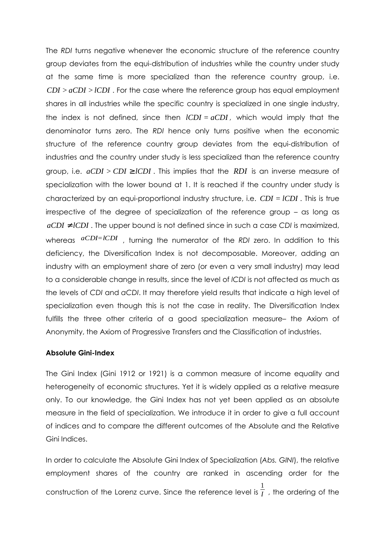The RDI turns negative whenever the economic structure of the reference country group deviates from the equi-distribution of industries while the country under study at the same time is more specialized than the reference country group, i.e. *CDI >aCDI >lCDI* . For the case where the reference group has equal employment shares in all industries while the specific country is specialized in one single industry, the index is not defined, since then *lCDI = aCDI* , which would imply that the denominator turns zero. The RDI hence only turns positive when the economic structure of the reference country group deviates from the equi-distribution of industries and the country under study is less specialized than the reference country group, i.e.  $aCDI > CDI \geq lCDI$ . This implies that the *RDI* is an inverse measure of specialization with the lower bound at 1. It is reached if the country under study is characterized by an equi-proportional industry structure, i.e. *CDI = lCDI* . This is true irrespective of the degree of specialization of the reference group – as long as  $aCDI \neq lCDI$ . The upper bound is not defined since in such a case CDI is maximized, whereas  $aCDI=ICDI$ , turning the numerator of the RDI zero. In addition to this deficiency, the Diversification Index is not decomposable. Moreover, adding an industry with an employment share of zero (or even a very small industry) may lead to a considerable change in results, since the level of lCDI is not affected as much as the levels of CDI and aCDI. It may therefore yield results that indicate a high level of specialization even though this is not the case in reality. The Diversification Index fulfills the three other criteria of a good specialization measure– the Axiom of Anonymity, the Axiom of Progressive Transfers and the Classification of industries.

#### Absolute Gini-Index

The Gini Index (Gini 1912 or 1921) is a common measure of income equality and heterogeneity of economic structures. Yet it is widely applied as a relative measure only. To our knowledge, the Gini Index has not yet been applied as an absolute measure in the field of specialization. We introduce it in order to give a full account of indices and to compare the different outcomes of the Absolute and the Relative Gini Indices.

In order to calculate the Absolute Gini Index of Specialization (Abs. GINI), the relative employment shares of the country are ranked in ascending order for the construction of the Lorenz curve. Since the reference level is 1  $\overline{I}$  , the ordering of the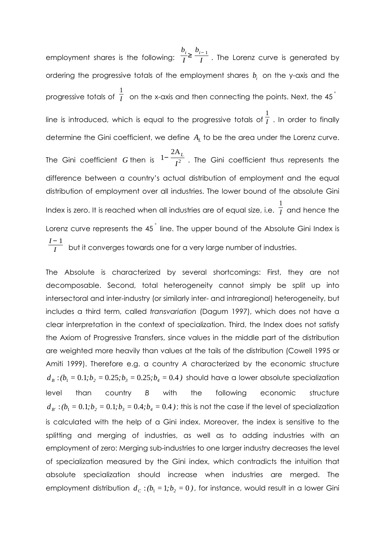employment shares is the following: *bi I* ≥ *bi*<sup>−</sup> <sup>1</sup>  $\overline{I}$  . The Lorenz curve is generated by ordering the progressive totals of the employment shares  $b_i$  on the y-axis and the progressive totals of 1  $\frac{1}{I}$  on the x-axis and then connecting the points. Next, the 45  $^{\circ}$ line is introduced, which is equal to the progressive totals of 1  $\overline{I}$  . In order to finally determine the Gini coefficient, we define *A<sup>L</sup>* to be the area under the Lorenz curve. The Gini coefficient *G* then is 1− 2A*<sup>L</sup>*  $\overline{I^2}$  . The Gini coefficient thus represents the difference between a country's actual distribution of employment and the equal distribution of employment over all industries. The lower bound of the absolute Gini Index is zero. It is reached when all industries are of equal size, i.e. 1  $\overline{I}$  and hence the Lorenz curve represents the 45 *°* line. The upper bound of the Absolute Gini Index is *I* − 1  $\overline{I}$  but it converges towards one for a very large number of industries.

The Absolute is characterized by several shortcomings: First, they are not decomposable. Second, total heterogeneity cannot simply be split up into intersectoral and inter-industry (or similarly inter- and intraregional) heterogeneity, but includes a third term, called transvariation (Dagum 1997), which does not have a clear interpretation in the context of specialization. Third, the Index does not satisfy the Axiom of Progressive Transfers, since values in the middle part of the distribution are weighted more heavily than values at the tails of the distribution (Cowell 1995 or Amiti 1999). Therefore e.g. a country A characterized by the economic structure  $d_B$ : $(b_1 = 0.1; b_2 = 0.25; b_3 = 0.25; b_4 = 0.4$ ) should have a lower absolute specialization level than country B with the following economic structure  $d_{B'}$ :  $(b_1 = 0.1; b_2 = 0.1; b_3 = 0.4; b_4 = 0.4$  ); this is not the case if the level of specialization is calculated with the help of a Gini index. Moreover, the index is sensitive to the splitting and merging of industries, as well as to adding industries with an employment of zero: Merging sub-industries to one larger industry decreases the level of specialization measured by the Gini index, which contradicts the intuition that absolute specialization should increase when industries are merged. The employment distribution  $d_c$  :( $b_1$  = 1; $b_2$  = 0), for instance, would result in a lower Gini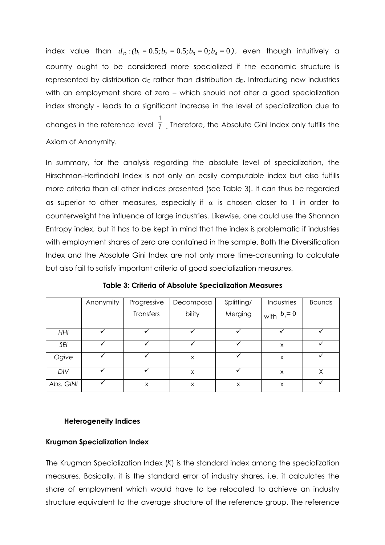index value than  $d_D$  :( $b_1 = 0.5$ ; $b_2 = 0.5$ ; $b_3 = 0$ ; $b_4 = 0$ ), even though intuitively a country ought to be considered more specialized if the economic structure is represented by distribution dc rather than distribution d<sub>D</sub>. Introducing new industries with an employment share of zero – which should not alter a good specialization index strongly - leads to a significant increase in the level of specialization due to changes in the reference level 1  $\overline{I}$  . Therefore, the Absolute Gini Index only fulfills the Axiom of Anonymity.

In summary, for the analysis regarding the absolute level of specialization, the Hirschman-Herfindahl Index is not only an easily computable index but also fulfills more criteria than all other indices presented (see Table 3). It can thus be regarded as superior to other measures, especially if  $\alpha$  is chosen closer to 1 in order to counterweight the influence of large industries. Likewise, one could use the Shannon Entropy index, but it has to be kept in mind that the index is problematic if industries with employment shares of zero are contained in the sample. Both the Diversification Index and the Absolute Gini Index are not only more time-consuming to calculate but also fail to satisfy important criteria of good specialization measures.

|            | Anonymity | Progressive | Decomposa | Splitting/ | Industries                           | <b>Bounds</b> |
|------------|-----------|-------------|-----------|------------|--------------------------------------|---------------|
|            |           | Transfers   | bility    | Merging    | $\mathsf{I}_{\text{with}}$ $b_i = 0$ |               |
| <b>HHI</b> |           |             |           |            |                                      |               |
| <b>SEI</b> |           |             |           |            | X                                    |               |
| Ogive      | ✓         | ✓           | X         |            | X                                    | ✓             |
| DIV        |           |             | X         |            | X                                    | χ             |
| Abs. GINI  |           | Χ           | X         | X          | X                                    |               |

Table 3: Criteria of Absolute Specialization Measures

#### Heterogeneity Indices

# Krugman Specialization Index

The Krugman Specialization Index (K) is the standard index among the specialization measures. Basically, it is the standard error of industry shares, i.e. it calculates the share of employment which would have to be relocated to achieve an industry structure equivalent to the average structure of the reference group. The reference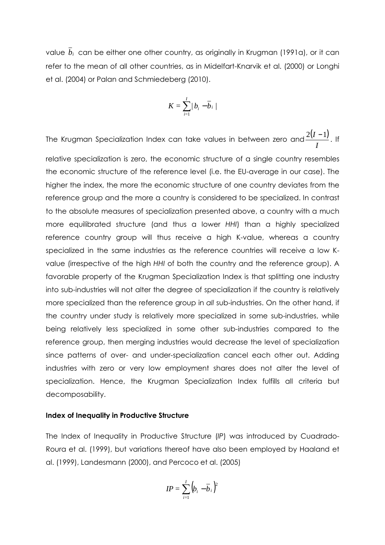value *bi* can be either one other country, as originally in Krugman (1991a), or it can refer to the mean of all other countries, as in Midelfart-Knarvik et al. (2000) or Longhi et al. (2004) or Palan and Schmiedeberg (2010).

$$
K=\sum_{i=1}^I/b_i-\overline{b}_i/
$$

The Krugman Specialization Index can take values in between zero and  $\frac{2(I-1)}{I}$ *I*  $\frac{2(I-1)}{I}$ . If relative specialization is zero, the economic structure of a single country resembles the economic structure of the reference level (i.e. the EU-average in our case). The higher the index, the more the economic structure of one country deviates from the reference group and the more a country is considered to be specialized. In contrast to the absolute measures of specialization presented above, a country with a much more equilibrated structure (and thus a lower HHI) than a highly specialized reference country group will thus receive a high K-value, whereas a country specialized in the same industries as the reference countries will receive a low Kvalue (irrespective of the high HHI of both the country and the reference group). A favorable property of the Krugman Specialization Index is that splitting one industry into sub-industries will not alter the degree of specialization if the country is relatively more specialized than the reference group in all sub-industries. On the other hand, if the country under study is relatively more specialized in some sub-industries, while being relatively less specialized in some other sub-industries compared to the reference group, then merging industries would decrease the level of specialization since patterns of over- and under-specialization cancel each other out. Adding industries with zero or very low employment shares does not alter the level of specialization. Hence, the Krugman Specialization Index fulfills all criteria but decomposability.

#### Index of Inequality in Productive Structure

The Index of Inequality in Productive Structure (IP) was introduced by Cuadrado-Roura et al. (1999), but variations thereof have also been employed by Haaland et al. (1999), Landesmann (2000), and Percoco et al. (2005)

$$
IP = \sum_{i=1}^{I} (b_i - \overline{b}_i)^2
$$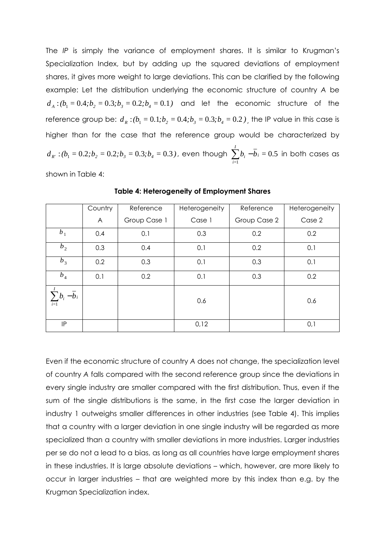The IP is simply the variance of employment shares. It is similar to Krugman's Specialization Index, but by adding up the squared deviations of employment shares, it gives more weight to large deviations. This can be clarified by the following example: Let the distribution underlying the economic structure of country A be  $d_A$ : $(b_1 = 0.4; b_2 = 0.3; b_3 = 0.2; b_4 = 0.1)$  and let the economic structure of the reference group be:  $d_R$  :( $b_1 = 0.1$ ; $b_2 = 0.4$ ; $b_3 = 0.3$ ; $b_4 = 0.2$  ), the IP value in this case is higher than for the case that the reference group would be characterized by  $d_{\overline{R'}}: (b_{\overline{1}} = 0.2; b_{\overline{2}} = 0.2; b_{\overline{3}} = 0.3; b_{\overline{4}} = 0.3$  ), even though  $\sum\limits_{i=1}^{I} b_{\overline{i}} = 0$ *=i*  $b_i - b_i =$ 1 0.5 in both cases as

shown in Table 4:

|                           | Country | Reference    | Heterogeneity | Reference    | Heterogeneity |
|---------------------------|---------|--------------|---------------|--------------|---------------|
|                           | A       | Group Case 1 | Case 1        | Group Case 2 | Case 2        |
| b <sub>1</sub>            | 0.4     | 0.1          | 0.3           | 0.2          | 0.2           |
| b <sub>2</sub>            | 0.3     | 0.4          | 0.1           | 0.2          | 0.1           |
| $b_3$                     | 0.2     | 0.3          | 0.1           | 0.3          | 0.1           |
| $b_4$                     | 0.1     | 0.2          | 0.1           | 0.3          | 0.2           |
| $\sum b_i - b_i$<br>$i=1$ |         |              | 0.6           |              | 0.6           |
| IP                        |         |              | 0,12          |              | 0,1           |

Table 4: Heterogeneity of Employment Shares

Even if the economic structure of country A does not change, the specialization level of country A falls compared with the second reference group since the deviations in every single industry are smaller compared with the first distribution. Thus, even if the sum of the single distributions is the same, in the first case the larger deviation in industry 1 outweighs smaller differences in other industries (see Table 4). This implies that a country with a larger deviation in one single industry will be regarded as more specialized than a country with smaller deviations in more industries. Larger industries per se do not a lead to a bias, as long as all countries have large employment shares in these industries. It is large absolute deviations – which, however, are more likely to occur in larger industries – that are weighted more by this index than e.g. by the Krugman Specialization index.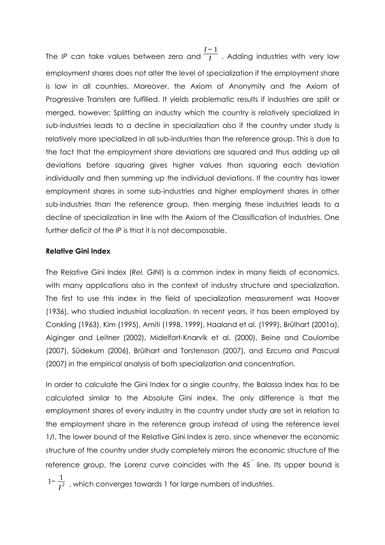The IP can take values between zero and *I* − 1  $\overline{I}$  . Adding industries with very low employment shares does not alter the level of specialization if the employment share is low in all countries. Moreover, the Axiom of Anonymity and the Axiom of Progressive Transfers are fulfilled. It yields problematic results if industries are split or merged, however: Splitting an industry which the country is relatively specialized in sub-industries leads to a decline in specialization also if the country under study is relatively more specialized in all sub-industries than the reference group. This is due to the fact that the employment share deviations are squared and thus adding up all deviations before squaring gives higher values than squaring each deviation individually and then summing up the individual deviations. If the country has lower employment shares in some sub-industries and higher employment shares in other sub-industries than the reference group, then merging these industries leads to a decline of specialization in line with the Axiom of the Classification of Industries. One further deficit of the IP is that it is not decomposable.

# Relative Gini Index

The Relative Gini Index (Rel. GINI) is a common index in many fields of economics, with many applications also in the context of industry structure and specialization. The first to use this index in the field of specialization measurement was Hoover (1936), who studied industrial localization. In recent years, it has been employed by Conkling (1963), Kim (1995), Amiti (1998, 1999), Haaland et al. (1999), Brülhart (2001a), Aiginger and Leitner (2002), Midelfart-Knarvik et al. (2000), Beine and Coulombe (2007), Südekum (2006), Brülhart and Torstensson (2007), and Ezcurra and Pascual (2007) in the empirical analysis of both specialization and concentration.

In order to calculate the Gini Index for a single country, the Balassa Index has to be calculated similar to the Absolute Gini index. The only difference is that the employment shares of every industry in the country under study are set in relation to the employment share in the reference group instead of using the reference level 1/I. The lower bound of the Relative Gini Index is zero, since whenever the economic structure of the country under study completely mirrors the economic structure of the reference group, the Lorenz curve coincides with the 45 *°* line. Its upper bound is

 $1-\frac{1}{2}$  $\overline{I^2}$  , which converges towards 1 for large numbers of industries.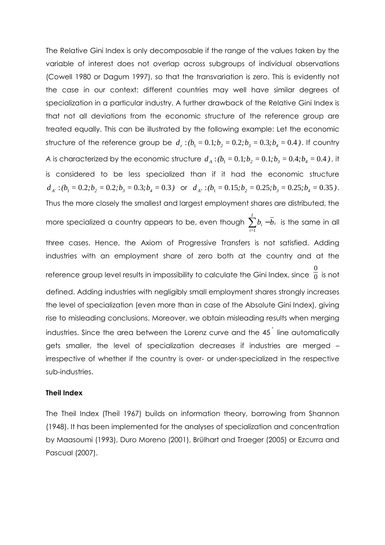The Relative Gini Index is only decomposable if the range of the values taken by the variable of interest does not overlap across subgroups of individual observations (Cowell 1980 or Dagum 1997), so that the transvariation is zero. This is evidently not the case in our context: different countries may well have similar degrees of specialization in a particular industry. A further drawback of the Relative Gini Index is that not all deviations from the economic structure of the reference group are treated equally. This can be illustrated by the following example: Let the economic structure of the reference group be  $d_r$  :  $(b_1 = 0.1; b_2 = 0.2; b_3 = 0.3; b_4 = 0.4$ ). If country A is characterized by the economic structure  $d_{\scriptscriptstyle{A}}$  :( $b_{\scriptscriptstyle{1}}$  =  $0.1; b_{\scriptscriptstyle{2}}$  =  $0.1; b_{\scriptscriptstyle{3}}$  =  $0.4; b_{\scriptscriptstyle{4}}$  =  $0.4$  ) , it is considered to be less specialized than if it had the economic structure  $d_{A'}$ :  $(b_1 = 0.2; b_2 = 0.2; b_3 = 0.3; b_4 = 0.3)$  or  $d_{A''}:$   $(b_1 = 0.15; b_2 = 0.25; b_3 = 0.25; b_4 = 0.35)$ . Thus the more closely the smallest and largest employment shares are distributed, the more specialized a country appears to be, even though  $\sum\limits^I b_i-$ *=i*  $b_i - b_i$ 1 is the same in all three cases. Hence, the Axiom of Progressive Transfers is not satisfied. Adding industries with an employment share of zero both at the country and at the reference group level results in impossibility to calculate the Gini Index, since 0  $\overline{0}$  is not defined. Adding industries with negligibly small employment shares strongly increases the level of specialization (even more than in case of the Absolute Gini Index), giving rise to misleading conclusions. Moreover, we obtain misleading results when merging industries. Since the area between the Lorenz curve and the 45 *°* line automatically gets smaller, the level of specialization decreases if industries are merged – irrespective of whether if the country is over- or under-specialized in the respective sub-industries.

#### Theil Index

The Theil Index (Theil 1967) builds on information theory, borrowing from Shannon (1948). It has been implemented for the analyses of specialization and concentration by Maasoumi (1993), Duro Moreno (2001), Brülhart and Traeger (2005) or Ezcurra and Pascual (2007).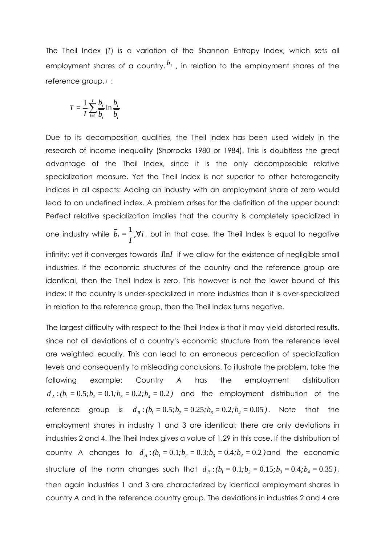The Theil Index (T) is a variation of the Shannon Entropy Index, which sets all employment shares of a country, *<sup>b</sup><sup>i</sup>* , in relation to the employment shares of the reference group, *<sup>i</sup>* :

$$
T = \frac{1}{I} \sum_{i=1}^{I} \frac{b_i}{\overline{b_i}} \ln \frac{b_i}{\overline{b_i}}
$$

Due to its decomposition qualities, the Theil Index has been used widely in the research of income inequality (Shorrocks 1980 or 1984). This is doubtless the great advantage of the Theil Index, since it is the only decomposable relative specialization measure. Yet the Theil Index is not superior to other heterogeneity indices in all aspects: Adding an industry with an employment share of zero would lead to an undefined index. A problem arises for the definition of the upper bound: Perfect relative specialization implies that the country is completely specialized in one industry while  $b_i = \frac{1}{a_i}$ ,  $\forall i$ *I*  $\bar{b}_i = \frac{1}{2}, \forall i$  , but in that case, the Theil Index is equal to negative

infinity; yet it converges towards *I*ln*I* if we allow for the existence of negligible small industries. If the economic structures of the country and the reference group are identical, then the Theil Index is zero. This however is not the lower bound of this index: If the country is under-specialized in more industries than it is over-specialized in relation to the reference group, then the Theil Index turns negative.

The largest difficulty with respect to the Theil Index is that it may yield distorted results, since not all deviations of a country's economic structure from the reference level are weighted equally. This can lead to an erroneous perception of specialization levels and consequently to misleading conclusions. To illustrate the problem, take the following example: Country A has the employment distribution  $d_A$ : $(b_1 = 0.5; b_2 = 0.1; b_3 = 0.2; b_4 = 0.2)$  and the employment distribution of the reference group is  $d_R$  :  $(b_1 = 0.5; b_2 = 0.25; b_3 = 0.2; b_4 = 0.05)$ . Note that the employment shares in industry 1 and 3 are identical; there are only deviations in industries 2 and 4. The Theil Index gives a value of 1.29 in this case. If the distribution of country A changes to  $d_A^i$  :  $(b_1 = 0.1; b_2 = 0.3; b_3 = 0.4; b_4 = 0.2$  ) and the economic structure of the norm changes such that  $d_R^i$ :  $(b_1 = 0.1; b_2 = 0.15; b_3 = 0.4; b_4 = 0.35)$ , then again industries 1 and 3 are characterized by identical employment shares in country A and in the reference country group. The deviations in industries 2 and 4 are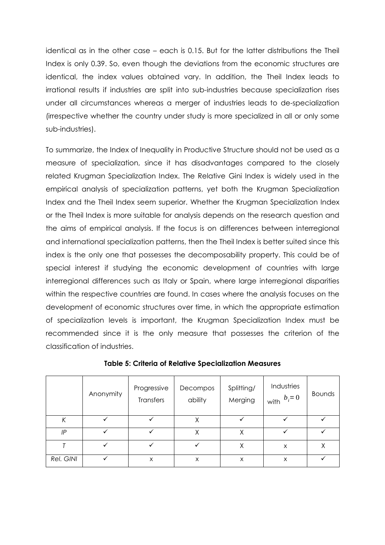identical as in the other case – each is 0.15. But for the latter distributions the Theil Index is only 0.39. So, even though the deviations from the economic structures are identical, the index values obtained vary. In addition, the Theil Index leads to irrational results if industries are split into sub-industries because specialization rises under all circumstances whereas a merger of industries leads to de-specialization (irrespective whether the country under study is more specialized in all or only some sub-industries).

To summarize, the Index of Inequality in Productive Structure should not be used as a measure of specialization, since it has disadvantages compared to the closely related Krugman Specialization Index. The Relative Gini Index is widely used in the empirical analysis of specialization patterns, yet both the Krugman Specialization Index and the Theil Index seem superior. Whether the Krugman Specialization Index or the Theil Index is more suitable for analysis depends on the research question and the aims of empirical analysis. If the focus is on differences between interregional and international specialization patterns, then the Theil Index is better suited since this index is the only one that possesses the decomposability property. This could be of special interest if studying the economic development of countries with large interregional differences such as Italy or Spain, where large interregional disparities within the respective countries are found. In cases where the analysis focuses on the development of economic structures over time, in which the appropriate estimation of specialization levels is important, the Krugman Specialization Index must be recommended since it is the only measure that possesses the criterion of the classification of industries.

|           | Anonymity | Progressive<br>Transfers | Decompos<br>ability | Splitting/<br>Merging | Industries<br>$\mathsf{I}_{\text{with}}$ $b_i = 0$ | <b>Bounds</b> |
|-----------|-----------|--------------------------|---------------------|-----------------------|----------------------------------------------------|---------------|
| К         |           |                          | Χ                   |                       |                                                    |               |
| IP        |           | ✓                        | Χ                   | Χ                     |                                                    |               |
|           |           |                          | ✓                   | X                     | X                                                  | Χ             |
| Rel. GINI |           | X                        | X                   | X                     | X                                                  |               |

Table 5: Criteria of Relative Specialization Measures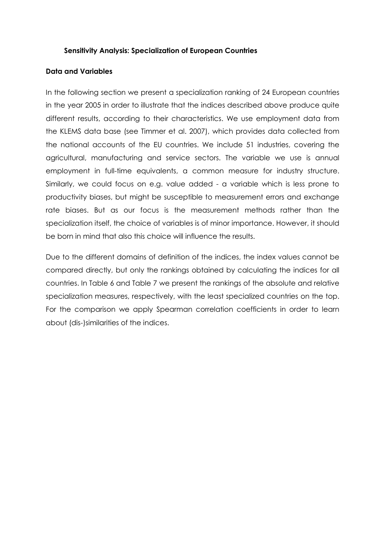#### Sensitivity Analysis: Specialization of European Countries

#### Data and Variables

In the following section we present a specialization ranking of 24 European countries in the year 2005 in order to illustrate that the indices described above produce quite different results, according to their characteristics. We use employment data from the KLEMS data base (see Timmer et al. 2007), which provides data collected from the national accounts of the EU countries. We include 51 industries, covering the agricultural, manufacturing and service sectors. The variable we use is annual employment in full-time equivalents, a common measure for industry structure. Similarly, we could focus on e.g. value added - a variable which is less prone to productivity biases, but might be susceptible to measurement errors and exchange rate biases. But as our focus is the measurement methods rather than the specialization itself, the choice of variables is of minor importance. However, it should be born in mind that also this choice will influence the results.

Due to the different domains of definition of the indices, the index values cannot be compared directly, but only the rankings obtained by calculating the indices for all countries. In Table 6 and Table 7 we present the rankings of the absolute and relative specialization measures, respectively, with the least specialized countries on the top. For the comparison we apply Spearman correlation coefficients in order to learn about (dis-)similarities of the indices.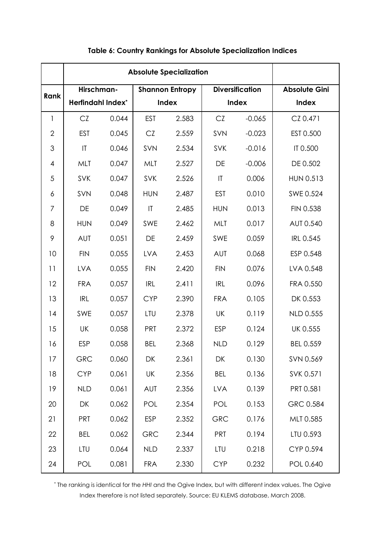| Rank           | Hirschman-<br><b>Herfindahl Index*</b> |       |                        | <b>Shannon Entropy</b> |                        | <b>Diversification</b> | <b>Absolute Gini</b> |
|----------------|----------------------------------------|-------|------------------------|------------------------|------------------------|------------------------|----------------------|
|                |                                        |       | <b>Index</b>           |                        | <b>Index</b>           |                        | Index                |
| 1              | CZ                                     | 0.044 | <b>EST</b>             | 2.583                  | CZ                     | $-0.065$               | CZ 0.471             |
| $\overline{2}$ | <b>EST</b>                             | 0.045 | CZ                     | 2.559                  | SVN                    | $-0.023$               | EST 0.500            |
| 3              | $\mathsf{I}\mathsf{T}$                 | 0.046 | SVN                    | 2.534                  | <b>SVK</b>             | $-0.016$               | IT 0.500             |
| 4              | MLT                                    | 0.047 | MLT                    | 2.527                  | DE                     | $-0.006$               | DE 0.502             |
| 5              | <b>SVK</b>                             | 0.047 | <b>SVK</b>             | 2.526                  | $\mathsf{I}\mathsf{T}$ | 0.006                  | <b>HUN 0.513</b>     |
| 6              | SVN                                    | 0.048 | <b>HUN</b>             | 2.487                  | <b>EST</b>             | 0.010                  | SWE 0.524            |
| 7              | DE                                     | 0.049 | $\mathsf{I}\mathsf{T}$ | 2.485                  | <b>HUN</b>             | 0.013                  | FIN 0.538            |
| 8              | <b>HUN</b>                             | 0.049 | SWE                    | 2.462                  | MLT                    | 0.017                  | AUT 0.540            |
| 9              | <b>AUT</b>                             | 0.051 | DE                     | 2.459                  | SWE                    | 0.059                  | <b>IRL 0.545</b>     |
| 10             | <b>FIN</b>                             | 0.055 | <b>LVA</b>             | 2.453                  | <b>AUT</b>             | 0.068                  | ESP 0.548            |
| 11             | <b>LVA</b>                             | 0.055 | <b>FIN</b>             | 2.420                  | <b>FIN</b>             | 0.076                  | LVA 0.548            |
| 12             | <b>FRA</b>                             | 0.057 | <b>IRL</b>             | 2.411                  | <b>IRL</b>             | 0.096                  | FRA 0.550            |
| 13             | <b>IRL</b>                             | 0.057 | <b>CYP</b>             | 2.390                  | <b>FRA</b>             | 0.105                  | DK 0.553             |
| 14             | SWE                                    | 0.057 | LTU                    | 2.378                  | UK                     | 0.119                  | <b>NLD 0.555</b>     |
| 15             | UK                                     | 0.058 | <b>PRT</b>             | 2.372                  | <b>ESP</b>             | 0.124                  | UK 0.555             |
| 16             | <b>ESP</b>                             | 0.058 | <b>BEL</b>             | 2.368                  | <b>NLD</b>             | 0.129                  | <b>BEL 0.559</b>     |
| 17             | GRC                                    | 0.060 | DK                     | 2.361                  | DK                     | 0.130                  | SVN 0.569            |
| 18             | <b>CYP</b>                             | 0.061 | UK                     | 2.356                  | <b>BEL</b>             | 0.136                  | SVK 0.571            |
| 19             | <b>NLD</b>                             | 0.061 | <b>AUT</b>             | 2.356                  | <b>LVA</b>             | 0.139                  | PRT 0.581            |
| 20             | DK                                     | 0.062 | POL                    | 2.354                  | POL                    | 0.153                  | GRC 0.584            |
| 21             | <b>PRT</b>                             | 0.062 | <b>ESP</b>             | 2.352                  | <b>GRC</b>             | 0.176                  | MLT 0.585            |
| 22             | <b>BEL</b>                             | 0.062 | GRC                    | 2.344                  | <b>PRT</b>             | 0.194                  | LTU 0.593            |
| 23             | LTU                                    | 0.064 | <b>NLD</b>             | 2.337                  | LTU                    | 0.218                  | CYP 0.594            |
| 24             | POL                                    | 0.081 | <b>FRA</b>             | 2.330                  | <b>CYP</b>             | 0.232                  | POL 0.640            |

# Table 6: Country Rankings for Absolute Specialization Indices

\* The ranking is identical for the HHI and the Ogive Index, but with different index values. The Ogive Index therefore is not listed separately. Source: EU KLEMS database, March 2008.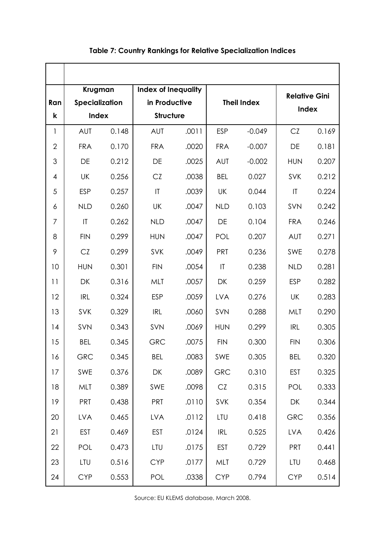|                |                        | Krugman<br><b>Index of Inequality</b> |                        |       |                        |          | <b>Relative Gini</b>   |       |
|----------------|------------------------|---------------------------------------|------------------------|-------|------------------------|----------|------------------------|-------|
| Ran            | Specialization         |                                       | in Productive          |       | <b>Theil Index</b>     |          | Index                  |       |
| k              | <b>Index</b>           |                                       | <b>Structure</b>       |       |                        |          |                        |       |
| 1              | <b>AUT</b>             | 0.148                                 | <b>AUT</b>             | .0011 | <b>ESP</b>             | $-0.049$ | CZ                     | 0.169 |
| $\mathbf{2}$   | <b>FRA</b>             | 0.170                                 | <b>FRA</b>             | .0020 | <b>FRA</b>             | $-0.007$ | DE                     | 0.181 |
| 3              | DE                     | 0.212                                 | DE                     | .0025 | <b>AUT</b>             | $-0.002$ | <b>HUN</b>             | 0.207 |
| $\overline{4}$ | UK                     | 0.256                                 | CZ                     | .0038 | <b>BEL</b>             | 0.027    | SVK                    | 0.212 |
| 5              | <b>ESP</b>             | 0.257                                 | $\mathsf{I}\mathsf{T}$ | .0039 | UK                     | 0.044    | $\mathsf{I}\mathsf{T}$ | 0.224 |
| 6              | <b>NLD</b>             | 0.260                                 | <b>UK</b>              | .0047 | <b>NLD</b>             | 0.103    | SVN                    | 0.242 |
| 7              | $\mathsf{I}\mathsf{T}$ | 0.262                                 | <b>NLD</b>             | .0047 | DE                     | 0.104    | <b>FRA</b>             | 0.246 |
| 8              | <b>FIN</b>             | 0.299                                 | <b>HUN</b>             | .0047 | POL                    | 0.207    | <b>AUT</b>             | 0.271 |
| 9              | CZ                     | 0.299                                 | <b>SVK</b>             | .0049 | <b>PRT</b>             | 0.236    | <b>SWE</b>             | 0.278 |
| 10             | <b>HUN</b>             | 0.301                                 | <b>FIN</b>             | .0054 | $\mathsf{I}\mathsf{T}$ | 0.238    | <b>NLD</b>             | 0.281 |
| 11             | DK                     | 0.316                                 | MLT                    | .0057 | DK                     | 0.259    | <b>ESP</b>             | 0.282 |
| 12             | <b>IRL</b>             | 0.324                                 | <b>ESP</b>             | .0059 | <b>LVA</b>             | 0.276    | UK                     | 0.283 |
| 13             | SVK                    | 0.329                                 | <b>IRL</b>             | .0060 | SVN                    | 0.288    | MLT                    | 0.290 |
| 14             | SVN                    | 0.343                                 | SVN                    | .0069 | <b>HUN</b>             | 0.299    | <b>IRL</b>             | 0.305 |
| 15             | <b>BEL</b>             | 0.345                                 | <b>GRC</b>             | .0075 | <b>FIN</b>             | 0.300    | <b>FIN</b>             | 0.306 |
| 16             | <b>GRC</b>             | 0.345                                 | <b>BEL</b>             | .0083 | SWE                    | 0.305    | <b>BEL</b>             | 0.320 |
| 17             | SWE                    | 0.376                                 | DK                     | .0089 | <b>GRC</b>             | 0.310    | <b>EST</b>             | 0.325 |
| 18             | MLT                    | 0.389                                 | SWE                    | .0098 | CZ                     | 0.315    | POL                    | 0.333 |
| 19             | <b>PRT</b>             | 0.438                                 | <b>PRT</b>             | .0110 | SVK                    | 0.354    | DK                     | 0.344 |
| 20             | <b>LVA</b>             | 0.465                                 | <b>LVA</b>             | .0112 | LTU                    | 0.418    | <b>GRC</b>             | 0.356 |
| 21             | EST                    | 0.469                                 | <b>EST</b>             | .0124 | <b>IRL</b>             | 0.525    | <b>LVA</b>             | 0.426 |
| 22             | POL                    | 0.473                                 | LTU                    | .0175 | <b>EST</b>             | 0.729    | <b>PRT</b>             | 0.441 |
| 23             | LTU                    | 0.516                                 | <b>CYP</b>             | .0177 | MLT                    | 0.729    | LTU                    | 0.468 |
| 24             | <b>CYP</b>             | 0.553                                 | POL                    | .0338 | <b>CYP</b>             | 0.794    | <b>CYP</b>             | 0.514 |

# Table 7: Country Rankings for Relative Specialization Indices

Source: EU KLEMS database, March 2008.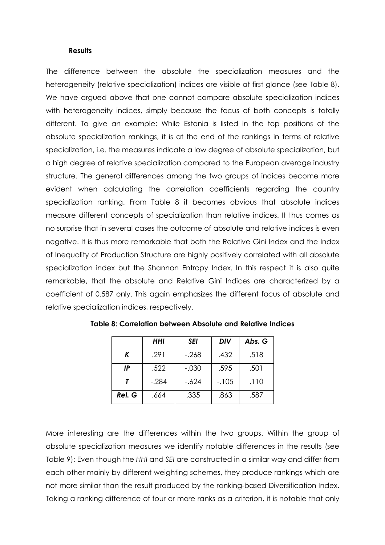#### **Results**

The difference between the absolute the specialization measures and the heterogeneity (relative specialization) indices are visible at first glance (see Table 8). We have argued above that one cannot compare absolute specialization indices with heterogeneity indices, simply because the focus of both concepts is totally different. To give an example: While Estonia is listed in the top positions of the absolute specialization rankings, it is at the end of the rankings in terms of relative specialization, i.e. the measures indicate a low degree of absolute specialization, but a high degree of relative specialization compared to the European average industry structure. The general differences among the two groups of indices become more evident when calculating the correlation coefficients regarding the country specialization ranking. From Table 8 it becomes obvious that absolute indices measure different concepts of specialization than relative indices. It thus comes as no surprise that in several cases the outcome of absolute and relative indices is even negative. It is thus more remarkable that both the Relative Gini Index and the Index of Inequality of Production Structure are highly positively correlated with all absolute specialization index but the Shannon Entropy Index. In this respect it is also quite remarkable, that the absolute and Relative Gini Indices are characterized by a coefficient of 0.587 only. This again emphasizes the different focus of absolute and relative specialization indices, respectively.

|        | HHI     | <b>SEI</b> | DIV    | Abs. G |
|--------|---------|------------|--------|--------|
| K      | .291    | $-.268$    | .432   | .518   |
| ΙP     | .522    | $-.030$    | .595   | .501   |
|        | $-.284$ | -.624      | $-105$ | .110   |
| Rel. G | .664    | .335       | .863   | .587   |

Table 8: Correlation between Absolute and Relative Indices

More interesting are the differences within the two groups. Within the group of absolute specialization measures we identify notable differences in the results (see Table 9): Even though the HHI and SEI are constructed in a similar way and differ from each other mainly by different weighting schemes, they produce rankings which are not more similar than the result produced by the ranking-based Diversification Index. Taking a ranking difference of four or more ranks as a criterion, it is notable that only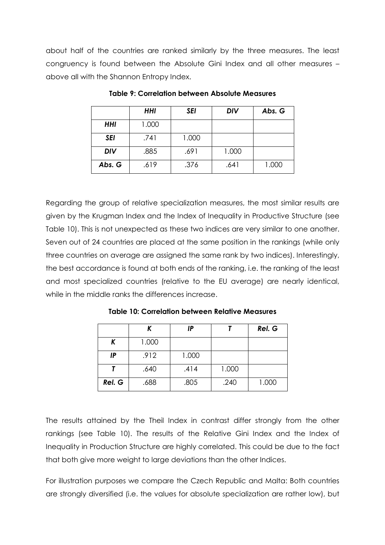about half of the countries are ranked similarly by the three measures. The least congruency is found between the Absolute Gini Index and all other measures – above all with the Shannon Entropy Index.

|            | <b>HHI</b> | SEI   | <b>DIV</b> | Abs. G |
|------------|------------|-------|------------|--------|
| <b>HHI</b> | 1.000      |       |            |        |
| <b>SEI</b> | .741       | 1.000 |            |        |
| <b>DIV</b> | .885       | .691  | 1.000      |        |
| Abs. G     | .619       | .376  | .641       | 1.000  |

Table 9: Correlation between Absolute Measures

Regarding the group of relative specialization measures, the most similar results are given by the Krugman Index and the Index of Inequality in Productive Structure (see Table 10). This is not unexpected as these two indices are very similar to one another. Seven out of 24 countries are placed at the same position in the rankings (while only three countries on average are assigned the same rank by two indices). Interestingly, the best accordance is found at both ends of the ranking, i.e. the ranking of the least and most specialized countries (relative to the EU average) are nearly identical, while in the middle ranks the differences increase.

|        |       | ΙP    |       | Rel. G |
|--------|-------|-------|-------|--------|
| K      | 1.000 |       |       |        |
| IP     | .912  | 1.000 |       |        |
|        | .640  | .414  | 1.000 |        |
| Rel. G | .688  | .805  | .240  | 1.000  |

Table 10: Correlation between Relative Measures

The results attained by the Theil Index in contrast differ strongly from the other rankings (see Table 10). The results of the Relative Gini Index and the Index of Inequality in Production Structure are highly correlated. This could be due to the fact that both give more weight to large deviations than the other Indices.

For illustration purposes we compare the Czech Republic and Malta: Both countries are strongly diversified (i.e. the values for absolute specialization are rather low), but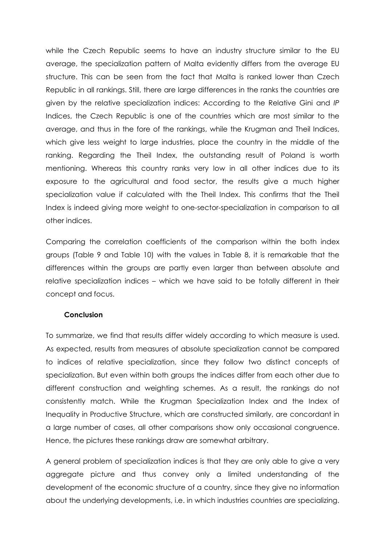while the Czech Republic seems to have an industry structure similar to the EU average, the specialization pattern of Malta evidently differs from the average EU structure. This can be seen from the fact that Malta is ranked lower than Czech Republic in all rankings. Still, there are large differences in the ranks the countries are given by the relative specialization indices: According to the Relative Gini and IP Indices, the Czech Republic is one of the countries which are most similar to the average, and thus in the fore of the rankings, while the Krugman and Theil Indices, which give less weight to large industries, place the country in the middle of the ranking. Regarding the Theil Index, the outstanding result of Poland is worth mentioning. Whereas this country ranks very low in all other indices due to its exposure to the agricultural and food sector, the results give a much higher specialization value if calculated with the Theil Index. This confirms that the Theil Index is indeed giving more weight to one-sector-specialization in comparison to all other indices.

Comparing the correlation coefficients of the comparison within the both index groups (Table 9 and Table 10) with the values in Table 8, it is remarkable that the differences within the groups are partly even larger than between absolute and relative specialization indices – which we have said to be totally different in their concept and focus.

#### **Conclusion**

To summarize, we find that results differ widely according to which measure is used. As expected, results from measures of absolute specialization cannot be compared to indices of relative specialization, since they follow two distinct concepts of specialization. But even within both groups the indices differ from each other due to different construction and weighting schemes. As a result, the rankings do not consistently match. While the Krugman Specialization Index and the Index of Inequality in Productive Structure, which are constructed similarly, are concordant in a large number of cases, all other comparisons show only occasional congruence. Hence, the pictures these rankings draw are somewhat arbitrary.

A general problem of specialization indices is that they are only able to give a very aggregate picture and thus convey only a limited understanding of the development of the economic structure of a country, since they give no information about the underlying developments, i.e. in which industries countries are specializing.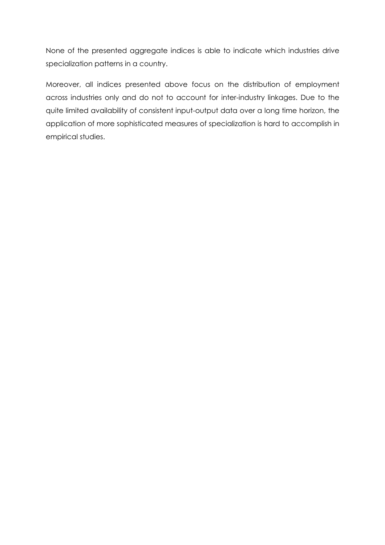None of the presented aggregate indices is able to indicate which industries drive specialization patterns in a country.

Moreover, all indices presented above focus on the distribution of employment across industries only and do not to account for inter-industry linkages. Due to the quite limited availability of consistent input-output data over a long time horizon, the application of more sophisticated measures of specialization is hard to accomplish in empirical studies.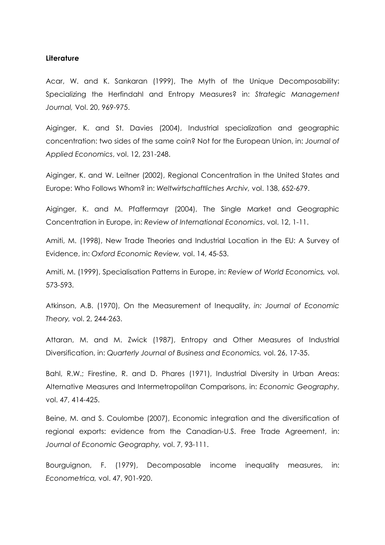#### **Literature**

Acar, W. and K. Sankaran (1999), The Myth of the Unique Decomposability: Specializing the Herfindahl and Entropy Measures? in: Strategic Management Journal, Vol. 20, 969-975.

Aiginger, K. and St. Davies (2004), Industrial specialization and geographic concentration: two sides of the same coin? Not for the European Union, in: Journal of Applied Economics, vol. 12, 231-248.

Aiginger, K. and W. Leitner (2002), Regional Concentration in the United States and Europe: Who Follows Whom? in: Weltwirtschaftliches Archiv, vol. 138, 652-679.

Aiginger, K. and M. Pfaffermayr (2004), The Single Market and Geographic Concentration in Europe, in: Review of International Economics, vol. 12, 1-11.

Amiti, M. (1998), New Trade Theories and Industrial Location in the EU: A Survey of Evidence, in: Oxford Economic Review, vol. 14, 45-53.

Amiti, M. (1999), Specialisation Patterns in Europe, in: Review of World Economics, vol. 573-593.

Atkinson, A.B. (1970), On the Measurement of Inequality, in: Journal of Economic Theory, vol. 2, 244-263.

Attaran, M. and M. Zwick (1987), Entropy and Other Measures of Industrial Diversification, in: Quarterly Journal of Business and Economics, vol. 26, 17-35.

Bahl, R.W.; Firestine, R. and D. Phares (1971), Industrial Diversity in Urban Areas: Alternative Measures and Intermetropolitan Comparisons, in: Economic Geography, vol. 47, 414-425.

Beine, M. and S. Coulombe (2007), Economic integration and the diversification of regional exports: evidence from the Canadian-U.S. Free Trade Agreement, in: Journal of Economic Geography, vol. 7, 93-111.

Bourguignon, F. (1979), Decomposable income inequality measures, in: Econometrica, vol. 47, 901-920.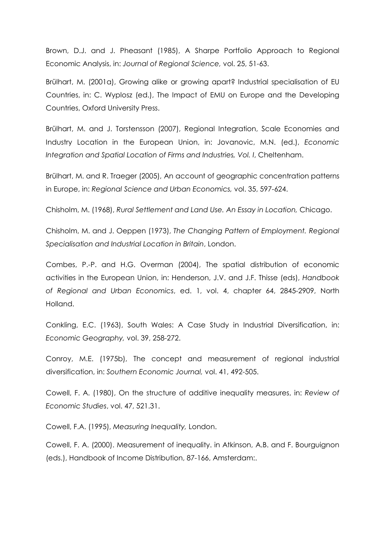Brown, D.J. and J. Pheasant (1985), A Sharpe Portfolio Approach to Regional Economic Analysis, in: Journal of Regional Science, vol. 25, 51-63.

Brülhart, M. (2001a), Growing alike or growing apart? Industrial specialisation of EU Countries, in: C. Wyplosz (ed.), The Impact of EMU on Europe and the Developing Countries, Oxford University Press.

Brülhart, M. and J. Torstensson (2007), Regional Integration, Scale Economies and Industry Location in the European Union, in: Jovanovic, M.N. (ed.), Economic Integration and Spatial Location of Firms and Industries, Vol. I, Cheltenham.

Brülhart, M. and R. Traeger (2005), An account of geographic concentration patterns in Europe, in: Regional Science and Urban Economics, vol. 35, 597-624.

Chisholm, M. (1968), Rural Settlement and Land Use. An Essay in Location, Chicago.

Chisholm, M. and J. Oeppen (1973), The Changing Pattern of Employment. Regional Specialisation and Industrial Location in Britain, London.

Combes, P.-P. and H.G. Overman (2004), The spatial distribution of economic activities in the European Union, in: Henderson, J.V. and J.F. Thisse (eds), Handbook of Regional and Urban Economics, ed. 1, vol. 4, chapter 64, 2845-2909, North Holland.

Conkling, E.C. (1963), South Wales: A Case Study in Industrial Diversification, in: Economic Geography, vol. 39, 258-272.

Conroy, M.E. (1975b), The concept and measurement of regional industrial diversification, in: Southern Economic Journal, vol. 41, 492-505.

Cowell, F. A. (1980), On the structure of additive inequality measures, in: Review of Economic Studies, vol. 47, 521.31.

Cowell, F.A. (1995), Measuring Inequality, London.

Cowell, F. A. (2000). Measurement of inequality. in Atkinson, A.B. and F. Bourguignon (eds.), Handbook of Income Distribution, 87-166, Amsterdam:.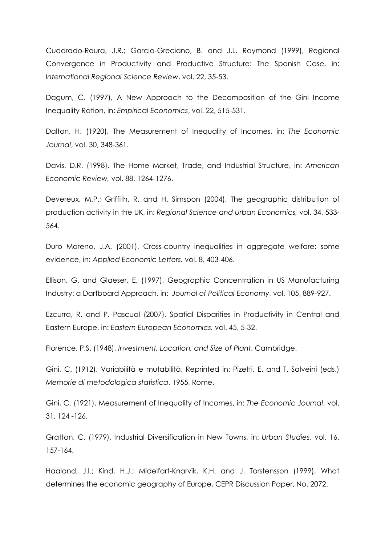Cuadrado-Roura, J.R.; Garcia-Greciano, B. and J.L. Raymond (1999), Regional Convergence in Productivity and Productive Structure: The Spanish Case, in: International Regional Science Review, vol. 22, 35-53.

Dagum, C. (1997), A New Approach to the Decomposition of the Gini Income Inequality Ration, in: Empirical Economics, vol. 22, 515-531.

Dalton, H. (1920), The Measurement of Inequality of Incomes, in: The Economic Journal, vol. 30, 348-361.

Davis, D.R. (1998), The Home Market, Trade, and Industrial Structure, in: American Economic Review, vol. 88, 1264-1276.

Devereux, M.P.; Griffith, R. and H. Simspon (2004), The geographic distribution of production activity in the UK, in: Regional Science and Urban Economics, vol. 34, 533- 564.

Duro Moreno, J.A. (2001), Cross-country inequalities in aggregate welfare: some evidence, in: Applied Economic Letters, vol. 8, 403-406.

Ellison, G. and Glaeser, E. (1997), Geographic Concentration in US Manufacturing Industry: a Dartboard Approach, in: Journal of Political Economy, vol. 105, 889-927.

Ezcurra, R. and P. Pascual (2007), Spatial Disparities in Productivity in Central and Eastern Europe, in: Eastern European Economics, vol. 45, 5-32.

Florence, P.S. (1948), Investment, Location, and Size of Plant, Cambridge.

Gini, C. (1912). Variabilità e mutabilità, Reprinted in: Pizetti, E. and T. Salveini (eds.) Memorie di metodologica statistica, 1955, Rome.

Gini, C. (1921), Measurement of Inequality of Incomes, in: The Economic Journal, vol. 31, 124 -126.

Gratton, C. (1979), Industrial Diversification in New Towns, in: Urban Studies, vol. 16, 157-164.

Haaland, J.I.; Kind, H.J.; Midelfart-Knarvik, K.H. and J. Torstensson (1999), What determines the economic geography of Europe, CEPR Discussion Paper, No. 2072.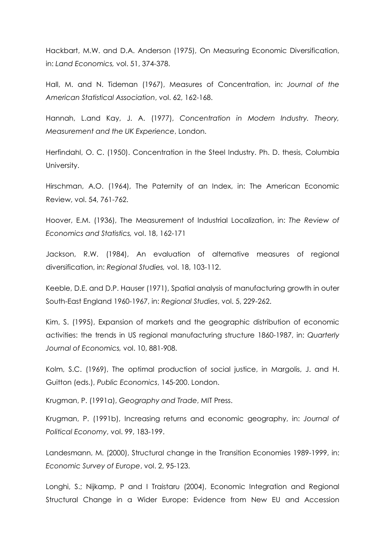Hackbart, M.W. and D.A. Anderson (1975), On Measuring Economic Diversification, in: Land Economics, vol. 51, 374-378.

Hall, M. and N. Tideman (1967), Measures of Concentration, in: Journal of the American Statistical Association, vol. 62, 162-168.

Hannah, L.and Kay, J. A. (1977), Concentration in Modern Industry. Theory, Measurement and the UK Experience, London.

Herfindahl, O. C. (1950). Concentration in the Steel Industry. Ph. D. thesis, Columbia University.

Hirschman, A.O. (1964), The Paternity of an Index, in: The American Economic Review, vol. 54, 761-762.

Hoover, E.M. (1936), The Measurement of Industrial Localization, in: The Review of Economics and Statistics, vol. 18, 162-171

Jackson, R.W. (1984), An evaluation of alternative measures of regional diversification, in: Regional Studies, vol. 18, 103-112.

Keeble, D.E. and D.P. Hauser (1971), Spatial analysis of manufacturing growth in outer South-East England 1960-1967, in: Regional Studies, vol. 5, 229-262.

Kim, S. (1995), Expansion of markets and the geographic distribution of economic activities: the trends in US regional manufacturing structure 1860-1987, in: Quarterly Journal of Economics, vol. 10, 881-908.

Kolm, S.C. (1969), The optimal production of social justice, in Margolis, J. and H. Guitton (eds.), Public Economics, 145-200. London.

Krugman, P. (1991a), Geography and Trade, MIT Press.

Krugman, P. (1991b), Increasing returns and economic geography, in: Journal of Political Economy, vol. 99, 183-199.

Landesmann, M. (2000), Structural change in the Transition Economies 1989-1999, in: Economic Survey of Europe, vol. 2, 95-123.

Longhi, S.; Nijkamp, P and I Traistaru (2004), Economic Integration and Regional Structural Change in a Wider Europe: Evidence from New EU and Accession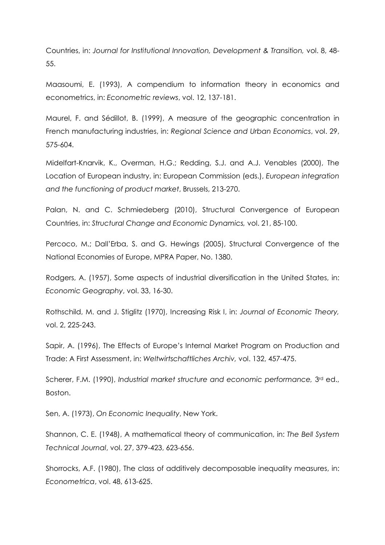Countries, in: Journal for Institutional Innovation, Development & Transition, vol. 8, 48- 55.

Maasoumi, E. (1993), A compendium to information theory in economics and econometrics, in: Econometric reviews, vol. 12, 137-181.

Maurel, F. and Sédillot, B. (1999), A measure of the geographic concentration in French manufacturing industries, in: Regional Science and Urban Economics, vol. 29, 575-604.

Midelfart-Knarvik, K., Overman, H.G.; Redding, S.J. and A.J. Venables (2000), The Location of European industry, in: European Commission (eds.), European integration and the functioning of product market, Brussels, 213-270.

Palan, N. and C. Schmiedeberg (2010), Structural Convergence of European Countries, in: Structural Change and Economic Dynamics, vol. 21, 85-100.

Percoco, M.; Dall'Erba, S. and G. Hewings (2005), Structural Convergence of the National Economies of Europe, MPRA Paper, No. 1380.

Rodgers, A. (1957), Some aspects of industrial diversification in the United States, in: Economic Geography, vol. 33, 16-30.

Rothschild, M. and J. Stiglitz (1970), Increasing Risk I, in: Journal of Economic Theory, vol. 2, 225-243.

Sapir, A. (1996), The Effects of Europe's Internal Market Program on Production and Trade: A First Assessment, in: Weltwirtschaftliches Archiv, vol. 132, 457-475.

Scherer, F.M. (1990), Industrial market structure and economic performance, 3<sup>rd</sup> ed., Boston.

Sen, A. (1973), On Economic Inequality, New York.

Shannon, C. E. (1948), A mathematical theory of communication, in: The Bell System Technical Journal, vol. 27, 379-423, 623-656.

Shorrocks, A.F. (1980), The class of additively decomposable inequality measures, in: Econometrica, vol. 48, 613-625.